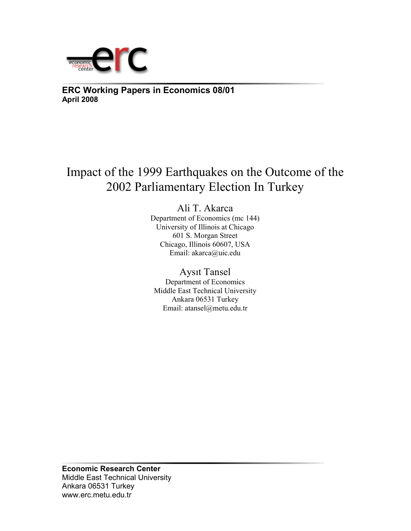

**ERC Working Papers in Economics 08/01 April 2008**

Impact of the 1999 Earthquakes on the Outcome of the 2002 Parliamentary Election In Turkey

> Ali T. Akarca Department of Economics (mc 144) University of Illinois at Chicago 601 S. Morgan Street Chicago, Illinois 60607, USA Email: akarca@uic.edu

Aysıt Tansel Department of Economics Middle East Technical University Ankara 06531 Turkey Email: atansel@metu.edu.tr

**Economic Research Center**  Middle East Technical University Ankara 06531 Turkey www.erc.metu.edu.tr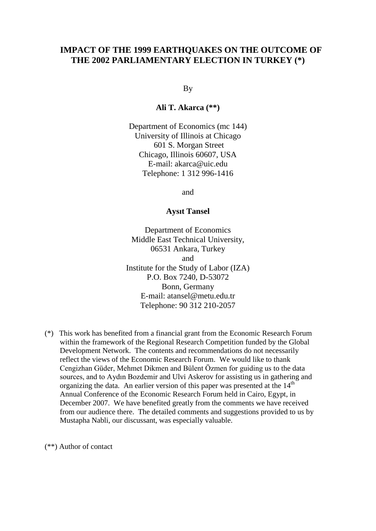## **IMPACT OF THE 1999 EARTHQUAKES ON THE OUTCOME OF THE 2002 PARLIAMENTARY ELECTION IN TURKEY (\*)**

By

**Ali T. Akarca (\*\*)**

Department of Economics (mc 144) University of Illinois at Chicago 601 S. Morgan Street Chicago, Illinois 60607, USA E-mail: akarca@uic.edu Telephone: 1 312 996-1416

and

## **Aysıt Tansel**

Department of Economics Middle East Technical University, 06531 Ankara, Turkey and Institute for the Study of Labor (IZA) P.O. Box 7240, D-53072 Bonn, Germany E-mail: atansel@metu.edu.tr Telephone: 90 312 210-2057

(\*) This work has benefited from a financial grant from the Economic Research Forum within the framework of the Regional Research Competition funded by the Global Development Network. The contents and recommendations do not necessarily reflect the views of the Economic Research Forum. We would like to thank Cengizhan Güder, Mehmet Dikmen and Bülent Özmen for guiding us to the data sources, and to Aydın Bozdemir and Ulvi Askerov for assisting us in gathering and organizing the data. An earlier version of this paper was presented at the  $14<sup>th</sup>$  Annual Conference of the Economic Research Forum held in Cairo, Egypt, in December 2007. We have benefited greatly from the comments we have received from our audience there. The detailed comments and suggestions provided to us by Mustapha Nabli, our discussant, was especially valuable.

(\*\*) Author of contact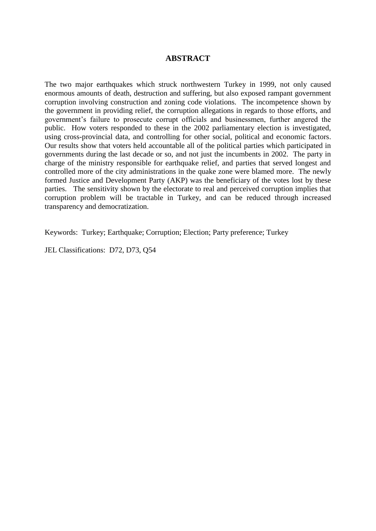## **ABSTRACT**

The two major earthquakes which struck northwestern Turkey in 1999, not only caused enormous amounts of death, destruction and suffering, but also exposed rampant government corruption involving construction and zoning code violations. The incompetence shown by the government in providing relief, the corruption allegations in regards to those efforts, and government's failure to prosecute corrupt officials and businessmen, further angered the public. How voters responded to these in the 2002 parliamentary election is investigated, using cross-provincial data, and controlling for other social, political and economic factors. Our results show that voters held accountable all of the political parties which participated in governments during the last decade or so, and not just the incumbents in 2002. The party in charge of the ministry responsible for earthquake relief, and parties that served longest and controlled more of the city administrations in the quake zone were blamed more. The newly formed Justice and Development Party (AKP) was the beneficiary of the votes lost by these parties. The sensitivity shown by the electorate to real and perceived corruption implies that corruption problem will be tractable in Turkey, and can be reduced through increased transparency and democratization.

Keywords: Turkey; Earthquake; Corruption; Election; Party preference; Turkey

JEL Classifications: D72, D73, Q54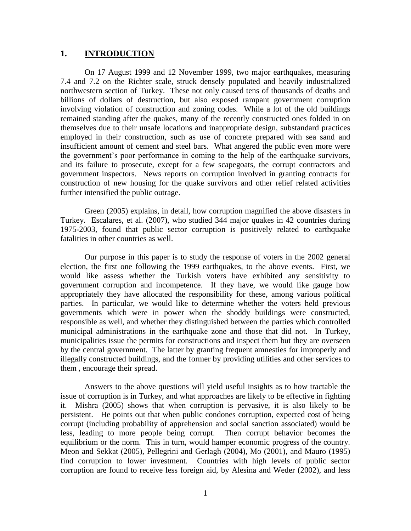## **1. INTRODUCTION**

On 17 August 1999 and 12 November 1999, two major earthquakes, measuring 7.4 and 7.2 on the Richter scale, struck densely populated and heavily industrialized northwestern section of Turkey. These not only caused tens of thousands of deaths and billions of dollars of destruction, but also exposed rampant government corruption involving violation of construction and zoning codes. While a lot of the old buildings remained standing after the quakes, many of the recently constructed ones folded in on themselves due to their unsafe locations and inappropriate design, substandard practices employed in their construction, such as use of concrete prepared with sea sand and insufficient amount of cement and steel bars. What angered the public even more were the government's poor performance in coming to the help of the earthquake survivors, and its failure to prosecute, except for a few scapegoats, the corrupt contractors and government inspectors. News reports on corruption involved in granting contracts for construction of new housing for the quake survivors and other relief related activities further intensified the public outrage.

Green (2005) explains, in detail, how corruption magnified the above disasters in Turkey. Escalares, et al. (2007), who studied 344 major quakes in 42 countries during 1975-2003, found that public sector corruption is positively related to earthquake fatalities in other countries as well.

Our purpose in this paper is to study the response of voters in the 2002 general election, the first one following the 1999 earthquakes, to the above events. First, we would like assess whether the Turkish voters have exhibited any sensitivity to government corruption and incompetence. If they have, we would like gauge how appropriately they have allocated the responsibility for these, among various political parties. In particular, we would like to determine whether the voters held previous governments which were in power when the shoddy buildings were constructed, responsible as well, and whether they distinguished between the parties which controlled municipal administrations in the earthquake zone and those that did not. In Turkey, municipalities issue the permits for constructions and inspect them but they are overseen by the central government. The latter by granting frequent amnesties for improperly and illegally constructed buildings, and the former by providing utilities and other services to them , encourage their spread.

Answers to the above questions will yield useful insights as to how tractable the issue of corruption is in Turkey, and what approaches are likely to be effective in fighting it. Mishra (2005) shows that when corruption is pervasive, it is also likely to be persistent. He points out that when public condones corruption, expected cost of being corrupt (including probability of apprehension and social sanction associated) would be less, leading to more people being corrupt. Then corrupt behavior becomes the equilibrium or the norm. This in turn, would hamper economic progress of the country. Meon and Sekkat (2005), Pellegrini and Gerlagh (2004), Mo (2001), and Mauro (1995) find corruption to lower investment. Countries with high levels of public sector corruption are found to receive less foreign aid, by Alesina and Weder (2002), and less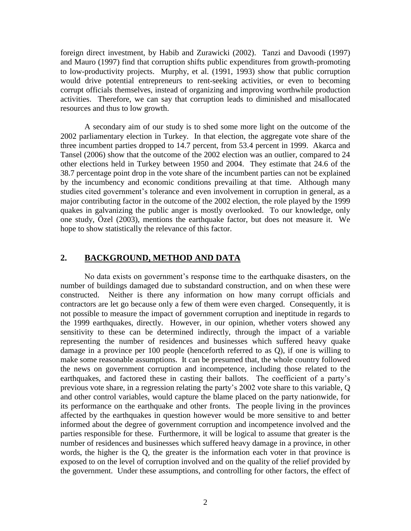foreign direct investment, by Habib and Zurawicki (2002). Tanzi and Davoodi (1997) and Mauro (1997) find that corruption shifts public expenditures from growth-promoting to low-productivity projects. Murphy, et al. (1991, 1993) show that public corruption would drive potential entrepreneurs to rent-seeking activities, or even to becoming corrupt officials themselves, instead of organizing and improving worthwhile production activities. Therefore, we can say that corruption leads to diminished and misallocated resources and thus to low growth.

A secondary aim of our study is to shed some more light on the outcome of the 2002 parliamentary election in Turkey. In that election, the aggregate vote share of the three incumbent parties dropped to 14.7 percent, from 53.4 percent in 1999. Akarca and Tansel (2006) show that the outcome of the 2002 election was an outlier, compared to 24 other elections held in Turkey between 1950 and 2004. They estimate that 24.6 of the 38.7 percentage point drop in the vote share of the incumbent parties can not be explained by the incumbency and economic conditions prevailing at that time. Although many studies cited government's tolerance and even involvement in corruption in general, as a major contributing factor in the outcome of the 2002 election, the role played by the 1999 quakes in galvanizing the public anger is mostly overlooked. To our knowledge, only one study, Özel (2003), mentions the earthquake factor, but does not measure it. We hope to show statistically the relevance of this factor.

## **2. BACKGROUND, METHOD AND DATA**

No data exists on government's response time to the earthquake disasters, on the number of buildings damaged due to substandard construction, and on when these were constructed. Neither is there any information on how many corrupt officials and contractors are let go because only a few of them were even charged. Consequently, it is not possible to measure the impact of government corruption and ineptitude in regards to the 1999 earthquakes, directly. However, in our opinion, whether voters showed any sensitivity to these can be determined indirectly, through the impact of a variable representing the number of residences and businesses which suffered heavy quake damage in a province per 100 people (henceforth referred to as Q), if one is willing to make some reasonable assumptions. It can be presumed that, the whole country followed the news on government corruption and incompetence, including those related to the earthquakes, and factored these in casting their ballots. The coefficient of a party's previous vote share, in a regression relating the party's 2002 vote share to this variable, Q and other control variables, would capture the blame placed on the party nationwide, for its performance on the earthquake and other fronts. The people living in the provinces affected by the earthquakes in question however would be more sensitive to and better informed about the degree of government corruption and incompetence involved and the parties responsible for these. Furthermore, it will be logical to assume that greater is the number of residences and businesses which suffered heavy damage in a province, in other words, the higher is the Q, the greater is the information each voter in that province is exposed to on the level of corruption involved and on the quality of the relief provided by the government. Under these assumptions, and controlling for other factors, the effect of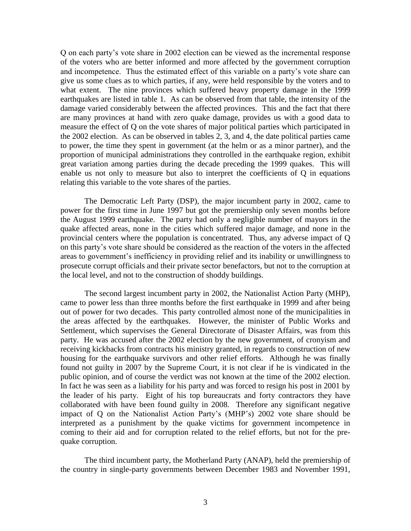Q on each party's vote share in 2002 election can be viewed as the incremental response of the voters who are better informed and more affected by the government corruption and incompetence. Thus the estimated effect of this variable on a party's vote share can give us some clues as to which parties, if any, were held responsible by the voters and to what extent. The nine provinces which suffered heavy property damage in the 1999 earthquakes are listed in table 1. As can be observed from that table, the intensity of the damage varied considerably between the affected provinces. This and the fact that there are many provinces at hand with zero quake damage, provides us with a good data to measure the effect of Q on the vote shares of major political parties which participated in the 2002 election. As can be observed in tables 2, 3, and 4, the date political parties came to power, the time they spent in government (at the helm or as a minor partner), and the proportion of municipal administrations they controlled in the earthquake region, exhibit great variation among parties during the decade preceding the 1999 quakes. This will enable us not only to measure but also to interpret the coefficients of Q in equations relating this variable to the vote shares of the parties.

The Democratic Left Party (DSP), the major incumbent party in 2002, came to power for the first time in June 1997 but got the premiership only seven months before the August 1999 earthquake. The party had only a negligible number of mayors in the quake affected areas, none in the cities which suffered major damage, and none in the provincial centers where the population is concentrated. Thus, any adverse impact of Q on this party's vote share should be considered as the reaction of the voters in the affected areas to government's inefficiency in providing relief and its inability or unwillingness to prosecute corrupt officials and their private sector benefactors, but not to the corruption at the local level, and not to the construction of shoddy buildings.

The second largest incumbent party in 2002, the Nationalist Action Party (MHP), came to power less than three months before the first earthquake in 1999 and after being out of power for two decades. This party controlled almost none of the municipalities in the areas affected by the earthquakes. However, the minister of Public Works and Settlement, which supervises the General Directorate of Disaster Affairs, was from this party. He was accused after the 2002 election by the new government, of cronyism and receiving kickbacks from contracts his ministry granted, in regards to construction of new housing for the earthquake survivors and other relief efforts. Although he was finally found not guilty in 2007 by the Supreme Court, it is not clear if he is vindicated in the public opinion, and of course the verdict was not known at the time of the 2002 election. In fact he was seen as a liability for his party and was forced to resign his post in 2001 by the leader of his party. Eight of his top bureaucrats and forty contractors they have collaborated with have been found guilty in 2008. Therefore any significant negative impact of Q on the Nationalist Action Party's (MHP's) 2002 vote share should be interpreted as a punishment by the quake victims for government incompetence in coming to their aid and for corruption related to the relief efforts, but not for the prequake corruption.

The third incumbent party, the Motherland Party (ANAP), held the premiership of the country in single-party governments between December 1983 and November 1991,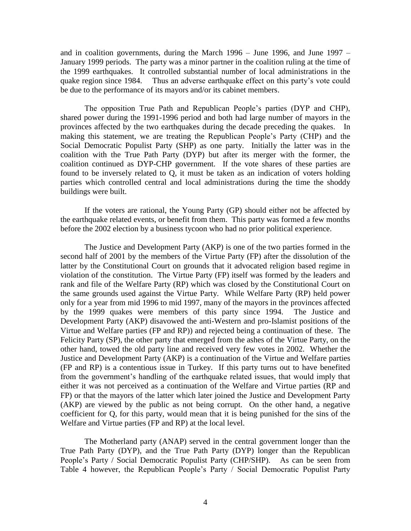and in coalition governments, during the March 1996 – June 1996, and June 1997 – January 1999 periods. The party was a minor partner in the coalition ruling at the time of the 1999 earthquakes. It controlled substantial number of local administrations in the quake region since 1984. Thus an adverse earthquake effect on this party's vote could be due to the performance of its mayors and/or its cabinet members.

The opposition True Path and Republican People's parties (DYP and CHP), shared power during the 1991-1996 period and both had large number of mayors in the provinces affected by the two earthquakes during the decade preceding the quakes. In making this statement, we are treating the Republican People's Party (CHP) and the Social Democratic Populist Party (SHP) as one party. Initially the latter was in the coalition with the True Path Party (DYP) but after its merger with the former, the coalition continued as DYP-CHP government. If the vote shares of these parties are found to be inversely related to Q, it must be taken as an indication of voters holding parties which controlled central and local administrations during the time the shoddy buildings were built.

If the voters are rational, the Young Party (GP) should either not be affected by the earthquake related events, or benefit from them. This party was formed a few months before the 2002 election by a business tycoon who had no prior political experience.

The Justice and Development Party (AKP) is one of the two parties formed in the second half of 2001 by the members of the Virtue Party (FP) after the dissolution of the latter by the Constitutional Court on grounds that it advocated religion based regime in violation of the constitution. The Virtue Party (FP) itself was formed by the leaders and rank and file of the Welfare Party (RP) which was closed by the Constitutional Court on the same grounds used against the Virtue Party. While Welfare Party (RP) held power only for a year from mid 1996 to mid 1997, many of the mayors in the provinces affected by the 1999 quakes were members of this party since 1994. The Justice and Development Party (AKP) disavowed the anti-Western and pro-Islamist positions of the Virtue and Welfare parties (FP and RP)) and rejected being a continuation of these. The Felicity Party (SP), the other party that emerged from the ashes of the Virtue Party, on the other hand, towed the old party line and received very few votes in 2002. Whether the Justice and Development Party (AKP) is a continuation of the Virtue and Welfare parties (FP and RP) is a contentious issue in Turkey. If this party turns out to have benefited from the government's handling of the earthquake related issues, that would imply that either it was not perceived as a continuation of the Welfare and Virtue parties (RP and FP) or that the mayors of the latter which later joined the Justice and Development Party (AKP) are viewed by the public as not being corrupt. On the other hand, a negative coefficient for Q, for this party, would mean that it is being punished for the sins of the Welfare and Virtue parties (FP and RP) at the local level.

The Motherland party (ANAP) served in the central government longer than the True Path Party (DYP), and the True Path Party (DYP) longer than the Republican People's Party / Social Democratic Populist Party (CHP/SHP). As can be seen from Table 4 however, the Republican People's Party / Social Democratic Populist Party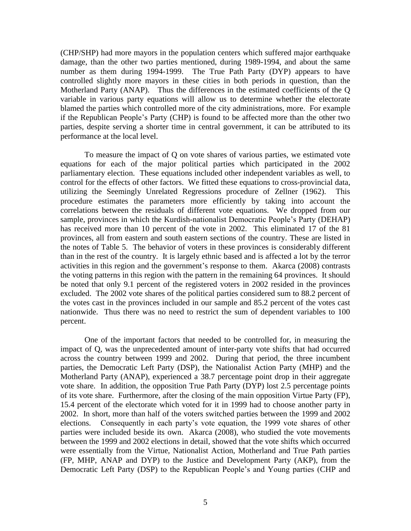(CHP/SHP) had more mayors in the population centers which suffered major earthquake damage, than the other two parties mentioned, during 1989-1994, and about the same number as them during 1994-1999. The True Path Party (DYP) appears to have controlled slightly more mayors in these cities in both periods in question, than the Motherland Party (ANAP). Thus the differences in the estimated coefficients of the Q variable in various party equations will allow us to determine whether the electorate blamed the parties which controlled more of the city administrations, more. For example if the Republican People's Party (CHP) is found to be affected more than the other two parties, despite serving a shorter time in central government, it can be attributed to its performance at the local level.

To measure the impact of Q on vote shares of various parties, we estimated vote equations for each of the major political parties which participated in the 2002 parliamentary election. These equations included other independent variables as well, to control for the effects of other factors. We fitted these equations to cross-provincial data, utilizing the Seemingly Unrelated Regressions procedure of Zellner (1962). This procedure estimates the parameters more efficiently by taking into account the correlations between the residuals of different vote equations. We dropped from our sample, provinces in which the Kurdish-nationalist Democratic People's Party (DEHAP) has received more than 10 percent of the vote in 2002. This eliminated 17 of the 81 provinces, all from eastern and south eastern sections of the country. These are listed in the notes of Table 5. The behavior of voters in these provinces is considerably different than in the rest of the country. It is largely ethnic based and is affected a lot by the terror activities in this region and the government's response to them. Akarca (2008) contrasts the voting patterns in this region with the pattern in the remaining 64 provinces. It should be noted that only 9.1 percent of the registered voters in 2002 resided in the provinces excluded. The 2002 vote shares of the political parties considered sum to 88.2 percent of the votes cast in the provinces included in our sample and 85.2 percent of the votes cast nationwide. Thus there was no need to restrict the sum of dependent variables to 100 percent.

One of the important factors that needed to be controlled for, in measuring the impact of Q, was the unprecedented amount of inter-party vote shifts that had occurred across the country between 1999 and 2002. During that period, the three incumbent parties, the Democratic Left Party (DSP), the Nationalist Action Party (MHP) and the Motherland Party (ANAP), experienced a 38.7 percentage point drop in their aggregate vote share. In addition, the opposition True Path Party (DYP) lost 2.5 percentage points of its vote share. Furthermore, after the closing of the main opposition Virtue Party (FP), 15.4 percent of the electorate which voted for it in 1999 had to choose another party in 2002. In short, more than half of the voters switched parties between the 1999 and 2002 elections. Consequently in each party's vote equation, the 1999 vote shares of other parties were included beside its own. Akarca (2008), who studied the vote movements between the 1999 and 2002 elections in detail, showed that the vote shifts which occurred were essentially from the Virtue, Nationalist Action, Motherland and True Path parties (FP, MHP, ANAP and DYP) to the Justice and Development Party (AKP), from the Democratic Left Party (DSP) to the Republican People's and Young parties (CHP and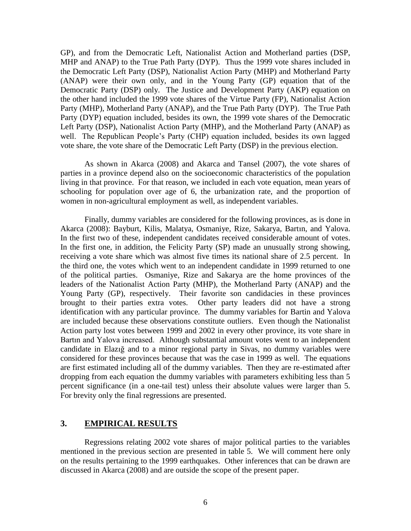GP), and from the Democratic Left, Nationalist Action and Motherland parties (DSP, MHP and ANAP) to the True Path Party (DYP). Thus the 1999 vote shares included in the Democratic Left Party (DSP), Nationalist Action Party (MHP) and Motherland Party (ANAP) were their own only, and in the Young Party (GP) equation that of the Democratic Party (DSP) only. The Justice and Development Party (AKP) equation on the other hand included the 1999 vote shares of the Virtue Party (FP), Nationalist Action Party (MHP), Motherland Party (ANAP), and the True Path Party (DYP). The True Path Party (DYP) equation included, besides its own, the 1999 vote shares of the Democratic Left Party (DSP), Nationalist Action Party (MHP), and the Motherland Party (ANAP) as well. The Republican People's Party (CHP) equation included, besides its own lagged vote share, the vote share of the Democratic Left Party (DSP) in the previous election.

As shown in Akarca (2008) and Akarca and Tansel (2007), the vote shares of parties in a province depend also on the socioeconomic characteristics of the population living in that province. For that reason, we included in each vote equation, mean years of schooling for population over age of 6, the urbanization rate, and the proportion of women in non-agricultural employment as well, as independent variables.

Finally, dummy variables are considered for the following provinces, as is done in Akarca (2008): Bayburt, Kilis, Malatya, Osmaniye, Rize, Sakarya, Bartın, and Yalova. In the first two of these, independent candidates received considerable amount of votes. In the first one, in addition, the Felicity Party (SP) made an unusually strong showing, receiving a vote share which was almost five times its national share of 2.5 percent. In the third one, the votes which went to an independent candidate in 1999 returned to one of the political parties. Osmaniye, Rize and Sakarya are the home provinces of the leaders of the Nationalist Action Party (MHP), the Motherland Party (ANAP) and the Young Party (GP), respectively. Their favorite son candidacies in these provinces brought to their parties extra votes. Other party leaders did not have a strong identification with any particular province. The dummy variables for Bartin and Yalova are included because these observations constitute outliers. Even though the Nationalist Action party lost votes between 1999 and 2002 in every other province, its vote share in Bartın and Yalova increased. Although substantial amount votes went to an independent candidate in Elazığ and to a minor regional party in Sivas, no dummy variables were considered for these provinces because that was the case in 1999 as well. The equations are first estimated including all of the dummy variables. Then they are re-estimated after dropping from each equation the dummy variables with parameters exhibiting less than 5 percent significance (in a one-tail test) unless their absolute values were larger than 5. For brevity only the final regressions are presented.

## **3. EMPIRICAL RESULTS**

Regressions relating 2002 vote shares of major political parties to the variables mentioned in the previous section are presented in table 5. We will comment here only on the results pertaining to the 1999 earthquakes. Other inferences that can be drawn are discussed in Akarca (2008) and are outside the scope of the present paper.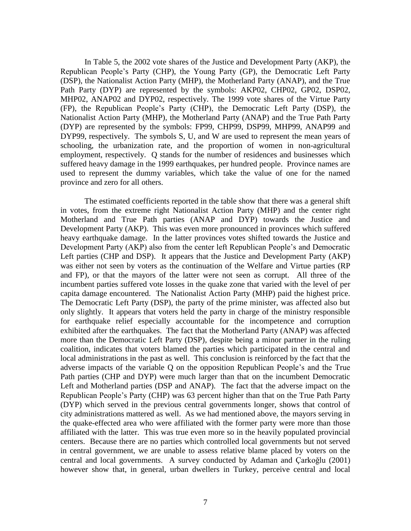In Table 5, the 2002 vote shares of the Justice and Development Party (AKP), the Republican People's Party (CHP), the Young Party (GP), the Democratic Left Party (DSP), the Nationalist Action Party (MHP), the Motherland Party (ANAP), and the True Path Party (DYP) are represented by the symbols: AKP02, CHP02, GP02, DSP02, MHP02, ANAP02 and DYP02, respectively. The 1999 vote shares of the Virtue Party (FP), the Republican People's Party (CHP), the Democratic Left Party (DSP), the Nationalist Action Party (MHP), the Motherland Party (ANAP) and the True Path Party (DYP) are represented by the symbols: FP99, CHP99, DSP99, MHP99, ANAP99 and DYP99, respectively. The symbols S, U, and W are used to represent the mean years of schooling, the urbanization rate, and the proportion of women in non-agricultural employment, respectively. Q stands for the number of residences and businesses which suffered heavy damage in the 1999 earthquakes, per hundred people. Province names are used to represent the dummy variables, which take the value of one for the named province and zero for all others.

The estimated coefficients reported in the table show that there was a general shift in votes, from the extreme right Nationalist Action Party (MHP) and the center right Motherland and True Path parties (ANAP and DYP) towards the Justice and Development Party (AKP). This was even more pronounced in provinces which suffered heavy earthquake damage. In the latter provinces votes shifted towards the Justice and Development Party (AKP) also from the center left Republican People's and Democratic Left parties (CHP and DSP). It appears that the Justice and Development Party (AKP) was either not seen by voters as the continuation of the Welfare and Virtue parties (RP and FP), or that the mayors of the latter were not seen as corrupt. All three of the incumbent parties suffered vote losses in the quake zone that varied with the level of per capita damage encountered. The Nationalist Action Party (MHP) paid the highest price. The Democratic Left Party (DSP), the party of the prime minister, was affected also but only slightly. It appears that voters held the party in charge of the ministry responsible for earthquake relief especially accountable for the incompetence and corruption exhibited after the earthquakes. The fact that the Motherland Party (ANAP) was affected more than the Democratic Left Party (DSP), despite being a minor partner in the ruling coalition, indicates that voters blamed the parties which participated in the central and local administrations in the past as well. This conclusion is reinforced by the fact that the adverse impacts of the variable Q on the opposition Republican People's and the True Path parties (CHP and DYP) were much larger than that on the incumbent Democratic Left and Motherland parties (DSP and ANAP). The fact that the adverse impact on the Republican People's Party (CHP) was 63 percent higher than that on the True Path Party (DYP) which served in the previous central governments longer, shows that control of city administrations mattered as well. As we had mentioned above, the mayors serving in the quake-effected area who were affiliated with the former party were more than those affiliated with the latter. This was true even more so in the heavily populated provincial centers. Because there are no parties which controlled local governments but not served in central government, we are unable to assess relative blame placed by voters on the central and local governments. A survey conducted by Adaman and Çarkoğlu (2001) however show that, in general, urban dwellers in Turkey, perceive central and local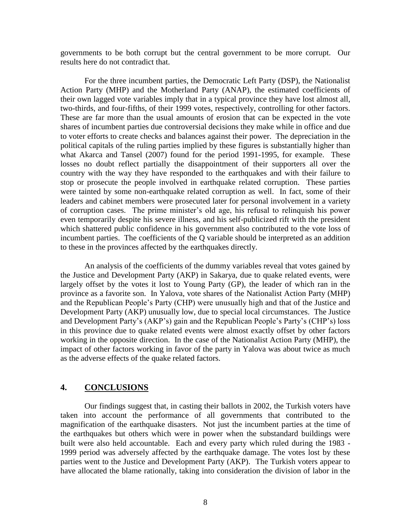governments to be both corrupt but the central government to be more corrupt. Our results here do not contradict that.

For the three incumbent parties, the Democratic Left Party (DSP), the Nationalist Action Party (MHP) and the Motherland Party (ANAP), the estimated coefficients of their own lagged vote variables imply that in a typical province they have lost almost all, two-thirds, and four-fifths, of their 1999 votes, respectively, controlling for other factors. These are far more than the usual amounts of erosion that can be expected in the vote shares of incumbent parties due controversial decisions they make while in office and due to voter efforts to create checks and balances against their power. The depreciation in the political capitals of the ruling parties implied by these figures is substantially higher than what Akarca and Tansel (2007) found for the period 1991-1995, for example. These losses no doubt reflect partially the disappointment of their supporters all over the country with the way they have responded to the earthquakes and with their failure to stop or prosecute the people involved in earthquake related corruption. These parties were tainted by some non-earthquake related corruption as well. In fact, some of their leaders and cabinet members were prosecuted later for personal involvement in a variety of corruption cases. The prime minister's old age, his refusal to relinquish his power even temporarily despite his severe illness, and his self-publicized rift with the president which shattered public confidence in his government also contributed to the vote loss of incumbent parties. The coefficients of the Q variable should be interpreted as an addition to these in the provinces affected by the earthquakes directly.

An analysis of the coefficients of the dummy variables reveal that votes gained by the Justice and Development Party (AKP) in Sakarya, due to quake related events, were largely offset by the votes it lost to Young Party (GP), the leader of which ran in the province as a favorite son. In Yalova, vote shares of the Nationalist Action Party (MHP) and the Republican People's Party (CHP) were unusually high and that of the Justice and Development Party (AKP) unusually low, due to special local circumstances. The Justice and Development Party's (AKP's) gain and the Republican People's Party's (CHP's) loss in this province due to quake related events were almost exactly offset by other factors working in the opposite direction. In the case of the Nationalist Action Party (MHP), the impact of other factors working in favor of the party in Yalova was about twice as much as the adverse effects of the quake related factors.

## **4. CONCLUSIONS**

Our findings suggest that, in casting their ballots in 2002, the Turkish voters have taken into account the performance of all governments that contributed to the magnification of the earthquake disasters. Not just the incumbent parties at the time of the earthquakes but others which were in power when the substandard buildings were built were also held accountable. Each and every party which ruled during the 1983 - 1999 period was adversely affected by the earthquake damage. The votes lost by these parties went to the Justice and Development Party (AKP). The Turkish voters appear to have allocated the blame rationally, taking into consideration the division of labor in the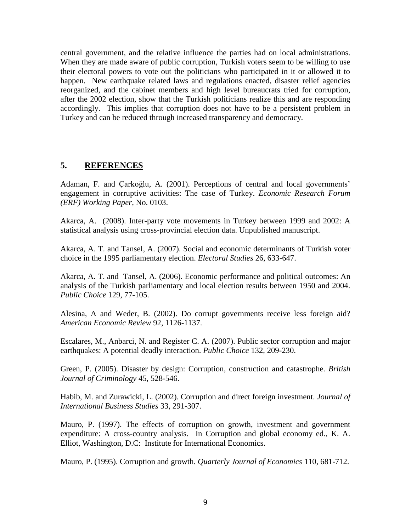central government, and the relative influence the parties had on local administrations. When they are made aware of public corruption, Turkish voters seem to be willing to use their electoral powers to vote out the politicians who participated in it or allowed it to happen. New earthquake related laws and regulations enacted, disaster relief agencies reorganized, and the cabinet members and high level bureaucrats tried for corruption, after the 2002 election, show that the Turkish politicians realize this and are responding accordingly. This implies that corruption does not have to be a persistent problem in Turkey and can be reduced through increased transparency and democracy.

## **5. REFERENCES**

Adaman, F. and Çarkoğlu, A. (2001). Perceptions of central and local governments' engagement in corruptive activities: The case of Turkey. *Economic Research Forum (ERF) Working Paper,* No. 0103.

Akarca, A. (2008). Inter-party vote movements in Turkey between 1999 and 2002: A statistical analysis using cross-provincial election data. Unpublished manuscript.

Akarca, A. T. and Tansel, A. (2007). Social and economic determinants of Turkish voter choice in the 1995 parliamentary election. *Electoral Studies* 26, 633-647.

Akarca, A. T. and Tansel, A. (2006). Economic performance and political outcomes: An analysis of the Turkish parliamentary and local election results between 1950 and 2004. *Public Choice* 129, 77-105.

Alesina, A and Weder, B. (2002). Do corrupt governments receive less foreign aid? *American Economic Review* 92, 1126-1137.

Escalares, M., Anbarci, N. and Register C. A. (2007). Public sector corruption and major earthquakes: A potential deadly interaction. *Public Choice* 132, 209-230.

Green, P. (2005). Disaster by design: Corruption, construction and catastrophe. *British Journal of Criminology* 45, 528-546.

Habib, M. and Zurawicki, L. (2002). Corruption and direct foreign investment. *Journal of International Business Studies* 33, 291-307.

Mauro, P. (1997). The effects of corruption on growth, investment and government expenditure: A cross-country analysis. In Corruption and global economy ed., K. A. Elliot, Washington, D.C: Institute for International Economics.

Mauro, P. (1995). Corruption and growth. *Quarterly Journal of Economics* 110, 681-712.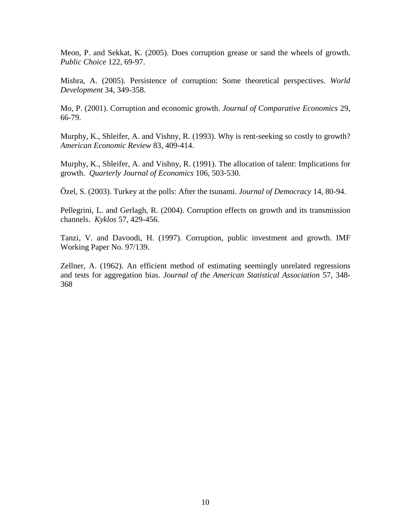Meon, P. and Sekkat, K. (2005). Does corruption grease or sand the wheels of growth. *Public Choice* 122, 69-97.

Mishra, A. (2005). Persistence of corruption: Some theoretical perspectives. *World Development* 34, 349-358.

Mo, P. (2001). Corruption and economic growth. *Journal of Comparative Economics* 29, 66-79.

Murphy, K., Shleifer, A. and Vishny, R. (1993). Why is rent-seeking so costly to growth? *American Economic Review* 83, 409-414.

Murphy, K., Shleifer, A. and Vishny, R. (1991). The allocation of talent: Implications for growth. *Quarterly Journal of Economics* 106, 503-530.

Özel, S. (2003). Turkey at the polls: After the tsunami. *Journal of Democracy* 14, 80-94.

Pellegrini, L. and Gerlagh, R. (2004). Corruption effects on growth and its transmission channels. *Kyklos* 57, 429-456.

Tanzi, V. and Davoodi, H. (1997). Corruption, public investment and growth. IMF Working Paper No. 97/139.

Zellner, A. (1962). An efficient method of estimating seemingly unrelated regressions and tests for aggregation bias. *Journal of the American Statistical Association* 57, 348- 368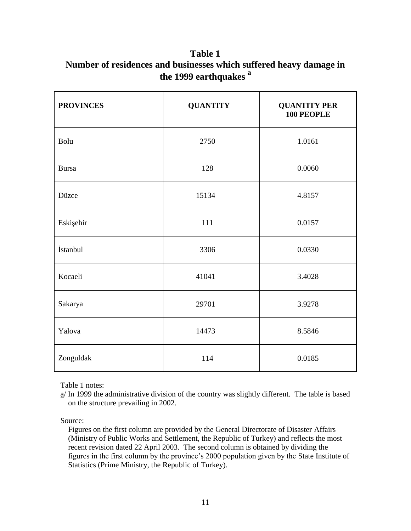**Table 1 Number of residences and businesses which suffered heavy damage in the 1999 earthquakes <sup>a</sup>**

| <b>PROVINCES</b> | <b>QUANTITY</b> | <b>QUANTITY PER</b><br>100 PEOPLE |  |
|------------------|-----------------|-----------------------------------|--|
| Bolu             | 2750            | 1.0161                            |  |
| <b>Bursa</b>     | 128             | 0.0060                            |  |
| Düzce            | 15134           | 4.8157                            |  |
| Eskişehir        | 111             | 0.0157                            |  |
| İstanbul         | 3306            | 0.0330                            |  |
| Kocaeli          | 41041           | 3.4028                            |  |
| Sakarya          | 29701           | 3.9278                            |  |
| Yalova           | 14473           | 8.5846                            |  |
| Zonguldak        | 114             | 0.0185                            |  |

Table 1 notes:

Source:

 Figures on the first column are provided by the General Directorate of Disaster Affairs (Ministry of Public Works and Settlement, the Republic of Turkey) and reflects the most recent revision dated 22 April 2003. The second column is obtained by dividing the figures in the first column by the province's 2000 population given by the State Institute of Statistics (Prime Ministry, the Republic of Turkey).

 $a$ / In 1999 the administrative division of the country was slightly different. The table is based on the structure prevailing in 2002.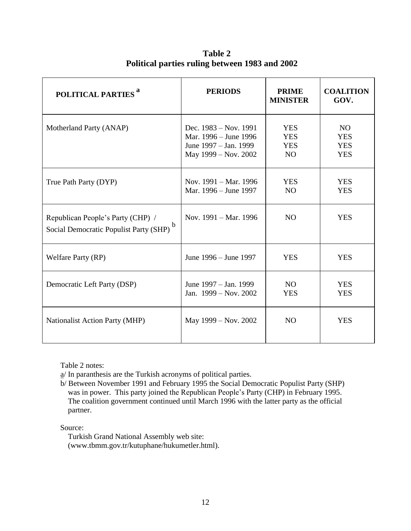| POLITICAL PARTIES <sup>a</sup>                                                   | <b>PERIODS</b>                                                                                    | <b>PRIME</b><br><b>MINISTER</b>               | <b>COALITION</b><br>GOV.                            |
|----------------------------------------------------------------------------------|---------------------------------------------------------------------------------------------------|-----------------------------------------------|-----------------------------------------------------|
| Motherland Party (ANAP)                                                          | Dec. $1983 - Nov. 1991$<br>Mar. 1996 – June 1996<br>June 1997 – Jan. 1999<br>May 1999 – Nov. 2002 | <b>YES</b><br><b>YES</b><br><b>YES</b><br>NO. | <b>NO</b><br><b>YES</b><br><b>YES</b><br><b>YES</b> |
| True Path Party (DYP)                                                            | Nov. 1991 – Mar. 1996<br>Mar. 1996 – June 1997                                                    | <b>YES</b><br>N <sub>O</sub>                  | <b>YES</b><br><b>YES</b>                            |
| Republican People's Party (CHP) /<br>b<br>Social Democratic Populist Party (SHP) | Nov. 1991 – Mar. 1996                                                                             | N <sub>O</sub>                                | <b>YES</b>                                          |
| Welfare Party (RP)                                                               | June 1996 – June 1997                                                                             | <b>YES</b>                                    | <b>YES</b>                                          |
| Democratic Left Party (DSP)                                                      | June 1997 – Jan. 1999<br>Jan. 1999 – Nov. 2002                                                    | NO.<br><b>YES</b>                             | <b>YES</b><br><b>YES</b>                            |
| <b>Nationalist Action Party (MHP)</b>                                            | May 1999 – Nov. 2002                                                                              | N <sub>O</sub>                                | <b>YES</b>                                          |

 **Table 2 Political parties ruling between 1983 and 2002**

Table 2 notes:

a/ In paranthesis are the Turkish acronyms of political parties.

b/ Between November 1991 and February 1995 the Social Democratic Populist Party (SHP) was in power. This party joined the Republican People's Party (CHP) in February 1995. The coalition government continued until March 1996 with the latter party as the official partner.

Source:

 Turkish Grand National Assembly web site: (www.tbmm.gov.tr/kutuphane/hukumetler.html).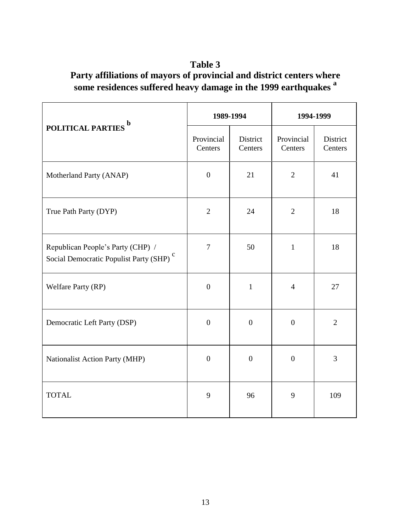# **Table 3 Party affiliations of mayors of provincial and district centers where some residences suffered heavy damage in the 1999 earthquakes <sup>a</sup>**

|                                                                                          |                       | 1989-1994           | 1994-1999             |                     |
|------------------------------------------------------------------------------------------|-----------------------|---------------------|-----------------------|---------------------|
| POLITICAL PARTIES <sup>b</sup>                                                           | Provincial<br>Centers | District<br>Centers | Provincial<br>Centers | District<br>Centers |
| Motherland Party (ANAP)                                                                  | $\overline{0}$        | 21                  | $\overline{2}$        | 41                  |
| True Path Party (DYP)                                                                    | $\overline{2}$        | 24                  | $\overline{2}$        | 18                  |
| Republican People's Party (CHP) /<br>Social Democratic Populist Party (SHP) <sup>c</sup> | $\overline{7}$        | 50                  | $\mathbf 1$           | 18                  |
| Welfare Party (RP)                                                                       | $\overline{0}$        | $\mathbf{1}$        | $\overline{4}$        | 27                  |
| Democratic Left Party (DSP)                                                              | $\overline{0}$        | $\boldsymbol{0}$    | $\boldsymbol{0}$      | $\overline{2}$      |
| Nationalist Action Party (MHP)                                                           | $\overline{0}$        | $\overline{0}$      | $\overline{0}$        | $\overline{3}$      |
| <b>TOTAL</b>                                                                             | 9                     | 96                  | 9                     | 109                 |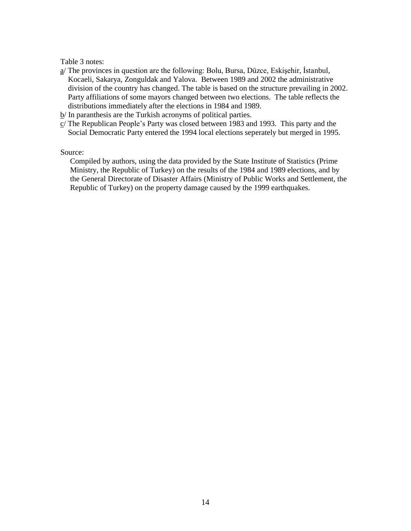Table 3 notes:

- a/ The provinces in question are the following: Bolu, Bursa, Düzce, Eskişehir, İstanbul, Kocaeli, Sakarya, Zonguldak and Yalova. Between 1989 and 2002 the administrative division of the country has changed. The table is based on the structure prevailing in 2002. Party affiliations of some mayors changed between two elections. The table reflects the distributions immediately after the elections in 1984 and 1989.
- b/ In paranthesis are the Turkish acronyms of political parties.
- $c/$  The Republican People's Party was closed between 1983 and 1993. This party and the Social Democratic Party entered the 1994 local elections seperately but merged in 1995.

Source:

 Compiled by authors, using the data provided by the State Institute of Statistics (Prime Ministry, the Republic of Turkey) on the results of the 1984 and 1989 elections, and by the General Directorate of Disaster Affairs (Ministry of Public Works and Settlement, the Republic of Turkey) on the property damage caused by the 1999 earthquakes.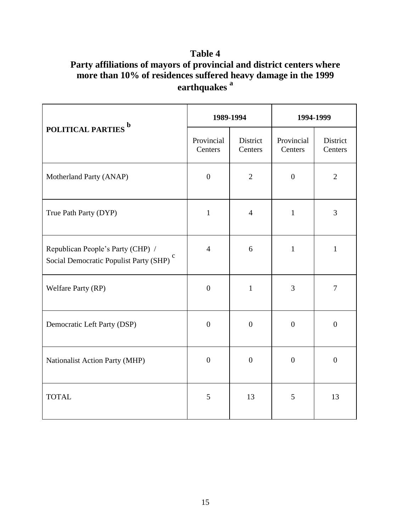# **Table 4 Party affiliations of mayors of provincial and district centers where more than 10% of residences suffered heavy damage in the 1999 earthquakes <sup>a</sup>**

|                                                                                          | 1989-1994             |                     | 1994-1999             |                     |
|------------------------------------------------------------------------------------------|-----------------------|---------------------|-----------------------|---------------------|
| POLITICAL PARTIES <sup>b</sup>                                                           | Provincial<br>Centers | District<br>Centers | Provincial<br>Centers | District<br>Centers |
| Motherland Party (ANAP)                                                                  | $\overline{0}$        | $\overline{2}$      | $\boldsymbol{0}$      | $\overline{2}$      |
| True Path Party (DYP)                                                                    | $\mathbf{1}$          | $\overline{4}$      | $\mathbf{1}$          | 3                   |
| Republican People's Party (CHP) /<br>Social Democratic Populist Party (SHP) <sup>c</sup> | $\overline{4}$        | 6                   | $\mathbf{1}$          | $\mathbf{1}$        |
| Welfare Party (RP)                                                                       | $\boldsymbol{0}$      | $\mathbf{1}$        | $\overline{3}$        | $\tau$              |
| Democratic Left Party (DSP)                                                              | $\overline{0}$        | $\boldsymbol{0}$    | $\boldsymbol{0}$      | $\boldsymbol{0}$    |
| Nationalist Action Party (MHP)                                                           | $\overline{0}$        | $\overline{0}$      | $\overline{0}$        | $\overline{0}$      |
| <b>TOTAL</b>                                                                             | 5                     | 13                  | 5                     | 13                  |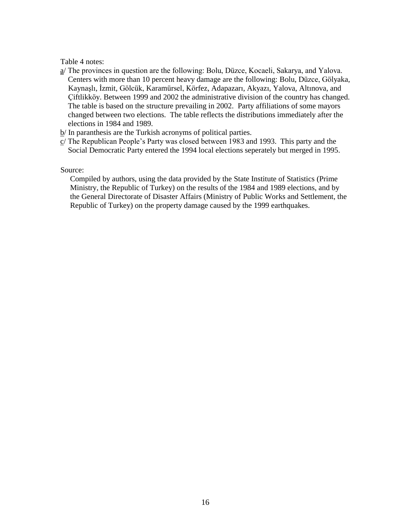### Table 4 notes:

- a/ The provinces in question are the following: Bolu, Düzce, Kocaeli, Sakarya, and Yalova. Centers with more than 10 percent heavy damage are the following: Bolu, Düzce, Gölyaka, Kaynaşlı, İzmit, Gölcük, Karamürsel, Körfez, Adapazarı, Akyazı, Yalova, Altınova, and Çiftlikköy. Between 1999 and 2002 the administrative division of the country has changed. The table is based on the structure prevailing in 2002. Party affiliations of some mayors changed between two elections. The table reflects the distributions immediately after the elections in 1984 and 1989.
- $b$ / In paranthesis are the Turkish acronyms of political parties.
- c/ The Republican People's Party was closed between 1983 and 1993. This party and the Social Democratic Party entered the 1994 local elections seperately but merged in 1995.

### Source:

 Compiled by authors, using the data provided by the State Institute of Statistics (Prime Ministry, the Republic of Turkey) on the results of the 1984 and 1989 elections, and by the General Directorate of Disaster Affairs (Ministry of Public Works and Settlement, the Republic of Turkey) on the property damage caused by the 1999 earthquakes.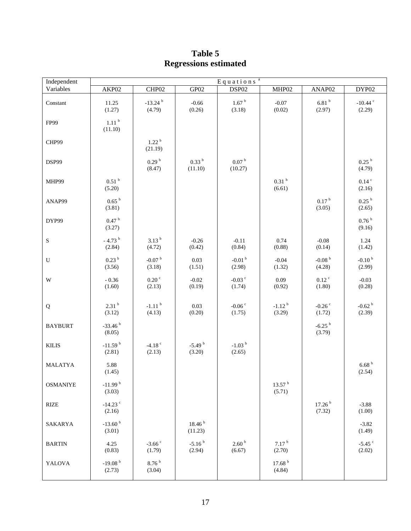| Independent     | $Eq$ uations <sup>a</sup>       |                                 |                               |                                |                                |                                |                                |
|-----------------|---------------------------------|---------------------------------|-------------------------------|--------------------------------|--------------------------------|--------------------------------|--------------------------------|
| Variables       | AKP02                           | CHP02                           | GP02                          | DSP02                          | MHP02                          | ANAP02                         | DYP02                          |
| Constant        | 11.25<br>(1.27)                 | $-13.24$ <sup>b</sup><br>(4.79) | $-0.66$<br>(0.26)             | 1.67 <sup>b</sup><br>(3.18)    | $-0.07$<br>(0.02)              | 6.81hb<br>(2.97)               | -10.44 $\degree$<br>(2.29)     |
| FP99            | 1.11 <sup>b</sup><br>(11.10)    |                                 |                               |                                |                                |                                |                                |
| CHP99           |                                 | 1.22 <sup>b</sup><br>(21.19)    |                               |                                |                                |                                |                                |
| DSP99           |                                 | 0.29 <sup>b</sup><br>(8.47)     | 0.33 <sup>b</sup><br>(11.10)  | 0.07 <sup>b</sup><br>(10.27)   |                                |                                | $0.25\,^{\rm b}$<br>(4.79)     |
| MHP99           | 0.51 <sup>b</sup><br>(5.20)     |                                 |                               |                                | 0.31 <sup>b</sup><br>(6.61)    |                                | $0.14$ <sup>c</sup><br>(2.16)  |
| ANAP99          | 0.65 <sup>b</sup><br>(3.81)     |                                 |                               |                                |                                | 0.17 <sup>b</sup><br>(3.05)    | 0.25 <sup>b</sup><br>(2.65)    |
| DYP99           | 0.47 h<br>(3.27)                |                                 |                               |                                |                                |                                | $0.76$ $^{\rm b}$<br>(9.16)    |
| $\mathbf S$     | $-4.73$ <sup>b</sup><br>(2.84)  | $3.13^{b}$<br>(4.72)            | $-0.26$<br>(0.42)             | $-0.11$<br>(0.84)              | 0.74<br>(0.88)                 | $-0.08$<br>(0.14)              | 1.24<br>(1.42)                 |
| ${\bf U}$       | 0.23 <sup>b</sup><br>(3.56)     | -0.07 $^{\rm b}$<br>(3.18)      | 0.03<br>(1.51)                | $-0.01$ <sup>b</sup><br>(2.98) | $-0.04$<br>(1.32)              | -0.08 $^{\rm b}$<br>(4.28)     | $-0.10b$<br>(2.99)             |
| W               | $-0.36$<br>(1.60)               | $0.20$ $\degree$<br>(2.13)      | $-0.02$<br>(0.19)             | -0.03 $\degree$<br>(1.74)      | 0.09<br>(0.92)                 | $0.12$ <sup>c</sup><br>(1.80)  | $-0.03$<br>(0.28)              |
| ${\bf Q}$       | 2.31 <sup>b</sup><br>(3.12)     | $-1.11$ <sup>b</sup><br>(4.13)  | 0.03<br>(0.20)                | -0.06 $\degree$<br>(1.75)      | $-1.12$ <sup>b</sup><br>(3.29) | $-0.26$<br>(1.72)              | $-0.62$ <sup>b</sup><br>(2.39) |
| <b>BAYBURT</b>  | $-33.46b$<br>(8.05)             |                                 |                               |                                |                                | $-6.25$ <sup>b</sup><br>(3.79) |                                |
| <b>KILIS</b>    | $-11.59b$<br>(2.81)             | $-4.18$ <sup>c</sup><br>(2.13)  | $-5.49b$<br>(3.20)            | $-1.03$ <sup>b</sup><br>(2.65) |                                |                                |                                |
| <b>MALATYA</b>  | 5.88<br>(1.45)                  |                                 |                               |                                |                                |                                | $6.68$ $^{\rm b}$<br>(2.54)    |
| <b>OSMANIYE</b> | $-11.99b$<br>(3.03)             |                                 |                               |                                | 13.57 <sup>b</sup><br>(5.71)   |                                |                                |
| <b>RIZE</b>     | $-14.23$ <sup>c</sup><br>(2.16) |                                 |                               |                                |                                | 17.26 <sup>b</sup><br>(7.32)   | $-3.88$<br>(1.00)              |
| SAKARYA         | $-13.60$ <sup>b</sup><br>(3.01) |                                 | 18.46 <sup>b</sup><br>(11.23) |                                |                                |                                | $-3.82$<br>(1.49)              |
| <b>BARTIN</b>   | 4.25<br>(0.83)                  | $-3.66$ $\degree$<br>(1.79)     | $-5.16b$<br>(2.94)            | 2.60 <sup>b</sup><br>(6.67)    | 7.17 <sup>b</sup><br>(2.70)    |                                | $-5.45$<br>(2.02)              |
| YALOVA          | $-19.08b$<br>(2.73)             | 8.76 <sup>b</sup><br>(3.04)     |                               |                                | 17.68 <sup>b</sup><br>(4.84)   |                                |                                |

# **Table 5 Regressions estimated**